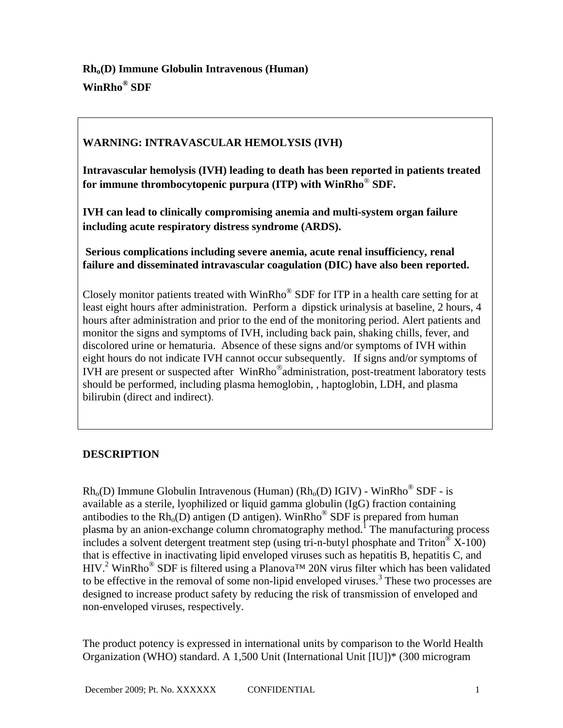# **WARNING: INTRAVASCULAR HEMOLYSIS (IVH)**

**Intravascular hemolysis (IVH) leading to death has been reported in patients treated for immune thrombocytopenic purpura (ITP) with WinRho**® **SDF.** 

**IVH can lead to clinically compromising anemia and multi-system organ failure including acute respiratory distress syndrome (ARDS).**

**Serious complications including severe anemia, acute renal insufficiency, renal failure and disseminated intravascular coagulation (DIC) have also been reported.**

Closely monitor patients treated with WinRho® SDF for ITP in a health care setting for at least eight hours after administration. Perform a dipstick urinalysis at baseline, 2 hours, 4 hours after administration and prior to the end of the monitoring period. Alert patients and monitor the signs and symptoms of IVH, including back pain, shaking chills, fever, and discolored urine or hematuria. Absence of these signs and/or symptoms of IVH within eight hours do not indicate IVH cannot occur subsequently. If signs and/or symptoms of IVH are present or suspected after WinRho®administration, post-treatment laboratory tests should be performed, including plasma hemoglobin, , haptoglobin, LDH, and plasma bilirubin (direct and indirect).

## **DESCRIPTION**

 $Rh<sub>0</sub>(D)$  Immune Globulin Intravenous (Human) ( $Rh<sub>0</sub>(D)$  IGIV) - WinRho<sup>®</sup> SDF - is available as a sterile, lyophilized or liquid gamma globulin (IgG) fraction containing antibodies to the  $Rh<sub>o</sub>(D)$  antigen (D antigen). WinRho<sup>®</sup> SDF is prepared from human plasma by an anion-exchange column chromatography method.<sup>1</sup> The manufacturing process includes a solvent detergent treatment step (using tri-n-butyl phosphate and Triton<sup>®</sup> X-100) that is effective in inactivating lipid enveloped viruses such as hepatitis B, hepatitis C, and HIV.<sup>2</sup> WinRho<sup>®</sup> SDF is filtered using a Planova<sup>TM</sup> 20N virus filter which has been validated to be effective in the removal of some non-lipid enveloped viruses.<sup>3</sup> These two processes are designed to increase product safety by reducing the risk of transmission of enveloped and non-enveloped viruses, respectively.

The product potency is expressed in international units by comparison to the World Health Organization (WHO) standard. A 1,500 Unit (International Unit [IU])\* (300 microgram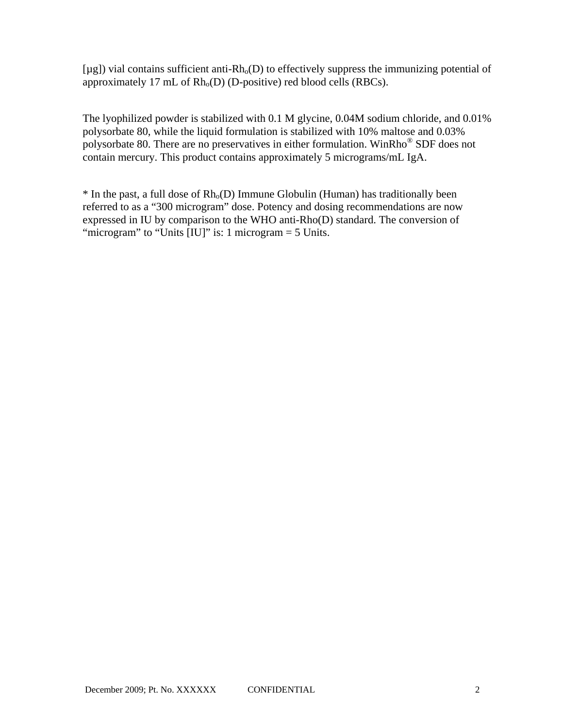$[\mu$ g]) vial contains sufficient anti-Rh<sub>o</sub>(D) to effectively suppress the immunizing potential of approximately 17 mL of  $Rh_0(D)$  (D-positive) red blood cells (RBCs).

The lyophilized powder is stabilized with 0.1 M glycine, 0.04M sodium chloride, and 0.01% polysorbate 80, while the liquid formulation is stabilized with 10% maltose and 0.03% polysorbate 80. There are no preservatives in either formulation. WinRho® SDF does not contain mercury. This product contains approximately 5 micrograms/mL IgA.

 $*$  In the past, a full dose of  $Rh_0(D)$  Immune Globulin (Human) has traditionally been referred to as a "300 microgram" dose. Potency and dosing recommendations are now expressed in IU by comparison to the WHO anti-Rho(D) standard. The conversion of "microgram" to "Units [IU]" is: 1 microgram = 5 Units.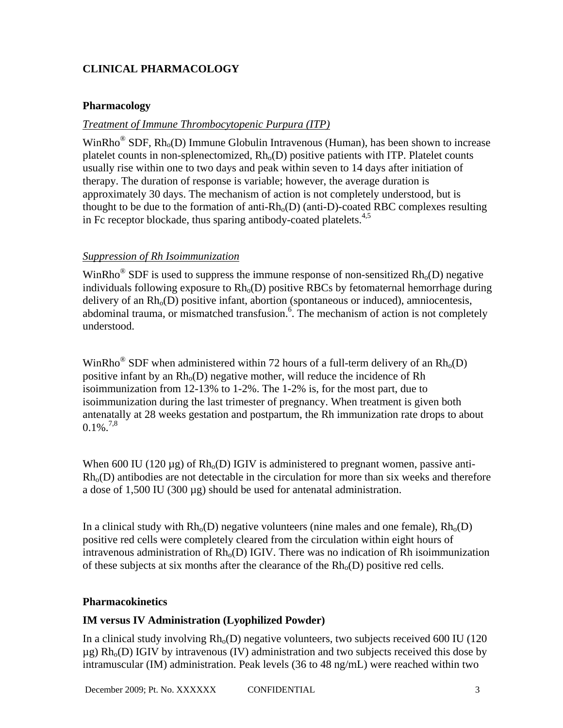# **CLINICAL PHARMACOLOGY**

### **Pharmacology**

## *Treatment of Immune Thrombocytopenic Purpura (ITP)*

WinRho<sup>®</sup> SDF, Rh<sub>o</sub>(D) Immune Globulin Intravenous (Human), has been shown to increase platelet counts in non-splenectomized,  $Rh_0(D)$  positive patients with ITP. Platelet counts usually rise within one to two days and peak within seven to 14 days after initiation of therapy. The duration of response is variable; however, the average duration is approximately 30 days. The mechanism of action is not completely understood, but is thought to be due to the formation of anti- $Rh_0(D)$  (anti-D)-coated RBC complexes resulting in Fc receptor blockade, thus sparing antibody-coated platelets.<sup>4,5</sup>

### *Suppression of Rh Isoimmunization*

WinRho<sup>®</sup> SDF is used to suppress the immune response of non-sensitized  $Rh_0(D)$  negative individuals following exposure to  $Rh<sub>o</sub>(D)$  positive RBCs by fetomaternal hemorrhage during delivery of an  $Rh<sub>o</sub>(D)$  positive infant, abortion (spontaneous or induced), amniocentesis, abdominal trauma, or mismatched transfusion.<sup>6</sup>. The mechanism of action is not completely understood.

WinRho<sup>®</sup> SDF when administered within 72 hours of a full-term delivery of an  $Rh_0(D)$ positive infant by an  $Rh_0(D)$  negative mother, will reduce the incidence of Rh isoimmunization from 12-13% to 1-2%. The 1-2% is, for the most part, due to isoimmunization during the last trimester of pregnancy. When treatment is given both antenatally at 28 weeks gestation and postpartum, the Rh immunization rate drops to about  $0.1\%$ <sup>7,8</sup>

When 600 IU (120  $\mu$ g) of Rh<sub>o</sub>(D) IGIV is administered to pregnant women, passive anti- $Rh<sub>0</sub>(D)$  antibodies are not detectable in the circulation for more than six weeks and therefore a dose of 1,500 IU (300 µg) should be used for antenatal administration.

In a clinical study with  $Rh_0(D)$  negative volunteers (nine males and one female),  $Rh_0(D)$ positive red cells were completely cleared from the circulation within eight hours of intravenous administration of  $Rh_0(D)$  IGIV. There was no indication of Rh isoimmunization of these subjects at six months after the clearance of the  $Rh_0(D)$  positive red cells.

### **Pharmacokinetics**

### **IM versus IV Administration (Lyophilized Powder)**

In a clinical study involving  $Rh_0(D)$  negative volunteers, two subjects received 600 IU (120)  $\mu$ g) Rh<sub>o</sub>(D) IGIV by intravenous (IV) administration and two subjects received this dose by intramuscular (IM) administration. Peak levels (36 to 48 ng/mL) were reached within two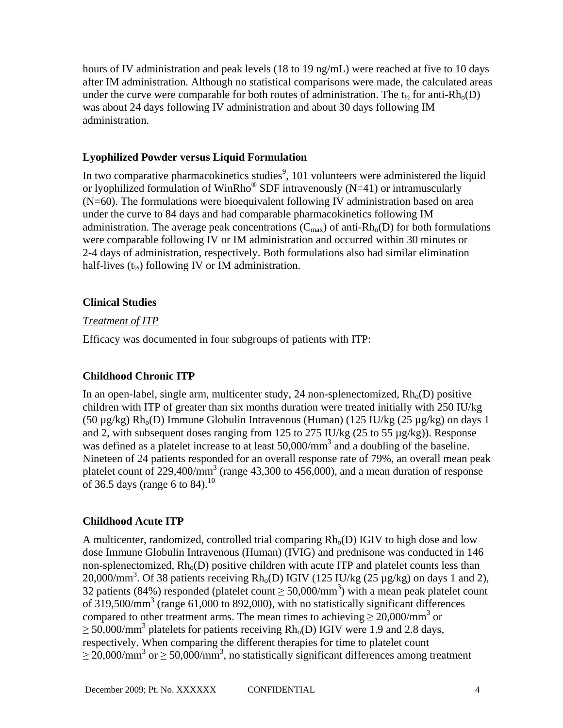hours of IV administration and peak levels (18 to 19 ng/mL) were reached at five to 10 days after IM administration. Although no statistical comparisons were made, the calculated areas under the curve were comparable for both routes of administration. The  $t_{1/2}$  for anti-Rh<sub>o</sub>(D) was about 24 days following IV administration and about 30 days following IM administration.

### **Lyophilized Powder versus Liquid Formulation**

In two comparative pharmacokinetics studies<sup>9</sup>, 101 volunteers were administered the liquid or lyophilized formulation of WinRho<sup>®</sup> SDF intravenously (N=41) or intramuscularly (N=60). The formulations were bioequivalent following IV administration based on area under the curve to 84 days and had comparable pharmacokinetics following IM administration. The average peak concentrations  $(C_{\text{max}})$  of anti-Rh<sub>o</sub>(D) for both formulations were comparable following IV or IM administration and occurred within 30 minutes or 2-4 days of administration, respectively. Both formulations also had similar elimination half-lives  $(t_{\gamma_2})$  following IV or IM administration.

#### **Clinical Studies**

#### *Treatment of ITP*

Efficacy was documented in four subgroups of patients with ITP:

### **Childhood Chronic ITP**

In an open-label, single arm, multicenter study, 24 non-splenectomized,  $Rh_0(D)$  positive children with ITP of greater than six months duration were treated initially with 250 IU/kg (50  $\mu$ g/kg) Rh<sub>o</sub>(D) Immune Globulin Intravenous (Human) (125 IU/kg (25  $\mu$ g/kg) on days 1 and 2, with subsequent doses ranging from 125 to 275 IU/kg (25 to 55 µg/kg)). Response was defined as a platelet increase to at least 50,000/mm<sup>3</sup> and a doubling of the baseline. Nineteen of 24 patients responded for an overall response rate of 79%, an overall mean peak platelet count of 229,400/mm<sup>3</sup> (range 43,300 to 456,000), and a mean duration of response of 36.5 days (range 6 to 84).<sup>10</sup>

### **Childhood Acute ITP**

A multicenter, randomized, controlled trial comparing  $Rh<sub>o</sub>(D)$  IGIV to high dose and low dose Immune Globulin Intravenous (Human) (IVIG) and prednisone was conducted in 146 non-splenectomized,  $Rh_0(D)$  positive children with acute ITP and platelet counts less than 20,000/mm<sup>3</sup>. Of 38 patients receiving  $Rh_o(D)$  IGIV (125 IU/kg (25 µg/kg) on days 1 and 2), 32 patients (84%) responded (platelet count  $\geq$  50,000/mm<sup>3</sup>) with a mean peak platelet count of  $319,500/\text{mm}^3$  (range 61,000 to 892,000), with no statistically significant differences compared to other treatment arms. The mean times to achieving  $\geq 20,000/\text{mm}^3$  or  $\geq$  50,000/mm<sup>3</sup> platelets for patients receiving Rh<sub>o</sub>(D) IGIV were 1.9 and 2.8 days, respectively. When comparing the different therapies for time to platelet count  $\geq$  20,000/mm<sup>3</sup> or  $\geq$  50,000/mm<sup>3</sup>, no statistically significant differences among treatment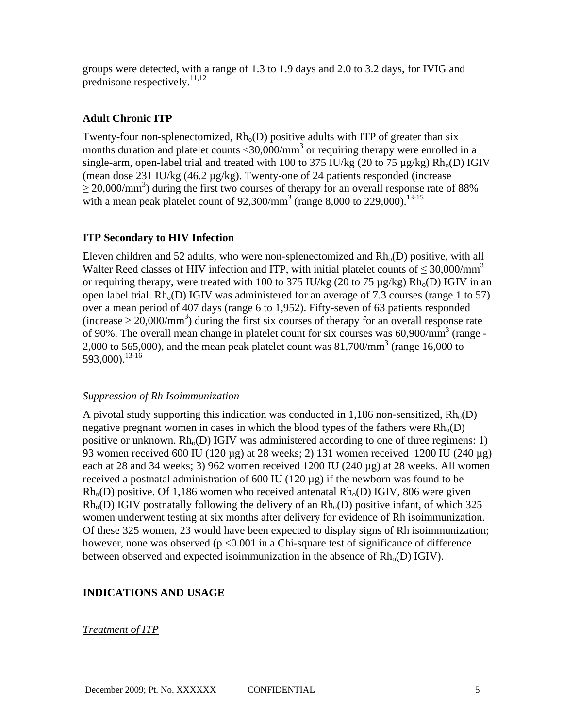groups were detected, with a range of 1.3 to 1.9 days and 2.0 to 3.2 days, for IVIG and prednisone respectively. $^{11,12}$ 

### **Adult Chronic ITP**

Twenty-four non-splenectomized,  $Rh_0(D)$  positive adults with ITP of greater than six months duration and platelet counts  $\langle 30,000 \rangle$ mm<sup>3</sup> or requiring therapy were enrolled in a single-arm, open-label trial and treated with 100 to 375 IU/kg (20 to 75  $\mu$ g/kg) Rh<sub>o</sub>(D) IGIV (mean dose 231 IU/kg (46.2 µg/kg). Twenty-one of 24 patients responded (increase  $\geq$  20,000/mm<sup>3</sup>) during the first two courses of therapy for an overall response rate of 88% with a mean peak platelet count of  $92,300/\text{mm}^3$  (range 8,000 to 229,000).<sup>13-15</sup>

#### **ITP Secondary to HIV Infection**

Eleven children and 52 adults, who were non-splenectomized and  $Rh<sub>0</sub>(D)$  positive, with all Walter Reed classes of HIV infection and ITP, with initial platelet counts of  $\leq 30,000/\text{mm}^3$ or requiring therapy, were treated with 100 to 375 IU/kg (20 to 75  $\mu$ g/kg) Rh<sub>o</sub>(D) IGIV in an open label trial.  $Rh_0(D)$  IGIV was administered for an average of 7.3 courses (range 1 to 57) over a mean period of 407 days (range 6 to 1,952). Fifty-seven of 63 patients responded (increase  $\geq 20,000/\text{mm}^3$ ) during the first six courses of therapy for an overall response rate of 90%. The overall mean change in platelet count for six courses was 60,900/mm<sup>3</sup> (range -2,000 to 565,000), and the mean peak platelet count was  $81,700/\text{mm}^3$  (range 16,000 to 593,000).13-16

#### *Suppression of Rh Isoimmunization*

A pivotal study supporting this indication was conducted in 1,186 non-sensitized,  $Rh_0(D)$ negative pregnant women in cases in which the blood types of the fathers were  $Rh_0(D)$ positive or unknown.  $Rh<sub>o</sub>(D)$  IGIV was administered according to one of three regimens: 1) 93 women received 600 IU (120  $\mu$ g) at 28 weeks; 2) 131 women received 1200 IU (240  $\mu$ g) each at 28 and 34 weeks; 3) 962 women received 1200 IU (240 µg) at 28 weeks. All women received a postnatal administration of  $600 \text{ IU}$  (120  $\mu$ g) if the newborn was found to be  $Rh<sub>0</sub>(D)$  positive. Of 1,186 women who received antenatal  $Rh<sub>0</sub>(D)$  IGIV, 806 were given  $Rh<sub>0</sub>(D)$  IGIV postnatally following the delivery of an  $Rh<sub>0</sub>(D)$  positive infant, of which 325 women underwent testing at six months after delivery for evidence of Rh isoimmunization. Of these 325 women, 23 would have been expected to display signs of Rh isoimmunization; however, none was observed ( $p < 0.001$  in a Chi-square test of significance of difference between observed and expected isoimmunization in the absence of  $Rh_0(D)$  IGIV).

#### **INDICATIONS AND USAGE**

#### *Treatment of ITP*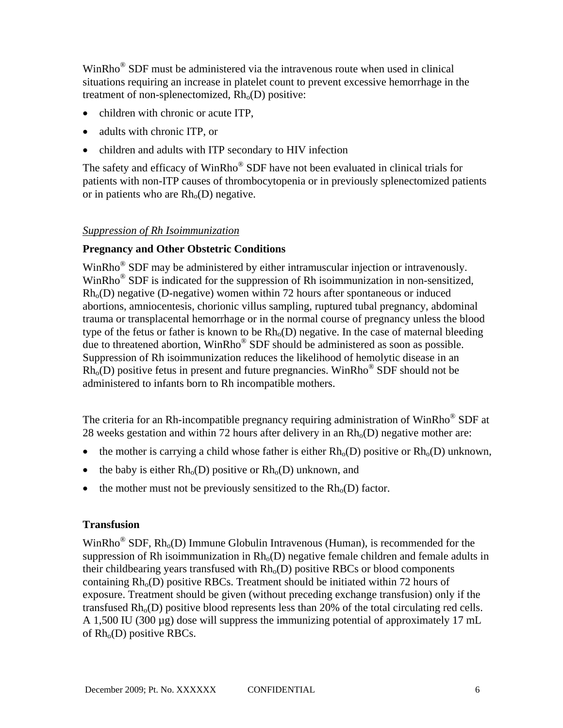WinRho® SDF must be administered via the intravenous route when used in clinical situations requiring an increase in platelet count to prevent excessive hemorrhage in the treatment of non-splenectomized,  $Rh<sub>o</sub>(D)$  positive:

- children with chronic or acute ITP.
- adults with chronic ITP, or
- children and adults with ITP secondary to HIV infection

The safety and efficacy of WinRho® SDF have not been evaluated in clinical trials for patients with non-ITP causes of thrombocytopenia or in previously splenectomized patients or in patients who are  $Rh<sub>o</sub>(D)$  negative.

### *Suppression of Rh Isoimmunization*

### **Pregnancy and Other Obstetric Conditions**

WinRho® SDF may be administered by either intramuscular injection or intravenously. WinRho<sup>®</sup> SDF is indicated for the suppression of Rh isoimmunization in non-sensitized,  $Rh<sub>0</sub>(D)$  negative (D-negative) women within 72 hours after spontaneous or induced abortions, amniocentesis, chorionic villus sampling, ruptured tubal pregnancy, abdominal trauma or transplacental hemorrhage or in the normal course of pregnancy unless the blood type of the fetus or father is known to be  $Rh_0(D)$  negative. In the case of maternal bleeding due to threatened abortion, WinRho® SDF should be administered as soon as possible. Suppression of Rh isoimmunization reduces the likelihood of hemolytic disease in an  $Rh<sub>0</sub>(D)$  positive fetus in present and future pregnancies. WinRho<sup>®</sup> SDF should not be administered to infants born to Rh incompatible mothers.

The criteria for an Rh-incompatible pregnancy requiring administration of WinRho<sup>®</sup> SDF at 28 weeks gestation and within 72 hours after delivery in an  $Rh<sub>o</sub>(D)$  negative mother are:

- the mother is carrying a child whose father is either  $Rh_0(D)$  positive or  $Rh_0(D)$  unknown,
- the baby is either  $Rh_o(D)$  positive or  $Rh_o(D)$  unknown, and
- the mother must not be previously sensitized to the  $Rh<sub>o</sub>(D)$  factor.

### **Transfusion**

WinRho<sup>®</sup> SDF,  $Rh_0(D)$  Immune Globulin Intravenous (Human), is recommended for the suppression of Rh isoimmunization in  $Rh_0(D)$  negative female children and female adults in their childbearing years transfused with  $Rh<sub>0</sub>(D)$  positive RBCs or blood components containing  $Rh<sub>o</sub>(D)$  positive RBCs. Treatment should be initiated within 72 hours of exposure. Treatment should be given (without preceding exchange transfusion) only if the transfused  $Rh_0(D)$  positive blood represents less than 20% of the total circulating red cells. A 1,500 IU (300  $\mu$ g) dose will suppress the immunizing potential of approximately 17 mL of  $Rh<sub>o</sub>(D)$  positive RBCs.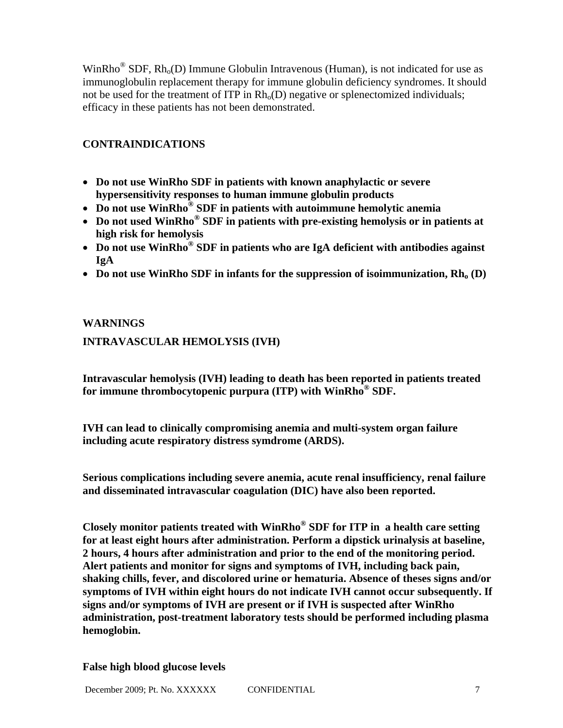WinRho<sup>®</sup> SDF,  $Rh<sub>o</sub>(D)$  Immune Globulin Intravenous (Human), is not indicated for use as immunoglobulin replacement therapy for immune globulin deficiency syndromes. It should not be used for the treatment of ITP in  $Rh<sub>o</sub>(D)$  negative or splenectomized individuals; efficacy in these patients has not been demonstrated.

## **CONTRAINDICATIONS**

- **Do not use WinRho SDF in patients with known anaphylactic or severe hypersensitivity responses to human immune globulin products**
- **Do not use WinRho® SDF in patients with autoimmune hemolytic anemia**
- **Do not used WinRho® SDF in patients with pre-existing hemolysis or in patients at high risk for hemolysis**
- **Do not use WinRho® SDF in patients who are IgA deficient with antibodies against IgA**
- Do not use WinRho SDF in infants for the suppression of isoimmunization,  $Rh_0(D)$

### **WARNINGS**

## **INTRAVASCULAR HEMOLYSIS (IVH)**

**Intravascular hemolysis (IVH) leading to death has been reported in patients treated for immune thrombocytopenic purpura (ITP) with WinRho® SDF.** 

**IVH can lead to clinically compromising anemia and multi-system organ failure including acute respiratory distress symdrome (ARDS).** 

**Serious complications including severe anemia, acute renal insufficiency, renal failure and disseminated intravascular coagulation (DIC) have also been reported.** 

**Closely monitor patients treated with WinRho® SDF for ITP in a health care setting for at least eight hours after administration. Perform a dipstick urinalysis at baseline, 2 hours, 4 hours after administration and prior to the end of the monitoring period. Alert patients and monitor for signs and symptoms of IVH, including back pain, shaking chills, fever, and discolored urine or hematuria. Absence of theses signs and/or symptoms of IVH within eight hours do not indicate IVH cannot occur subsequently. If signs and/or symptoms of IVH are present or if IVH is suspected after WinRho administration, post-treatment laboratory tests should be performed including plasma hemoglobin.** 

#### **False high blood glucose levels**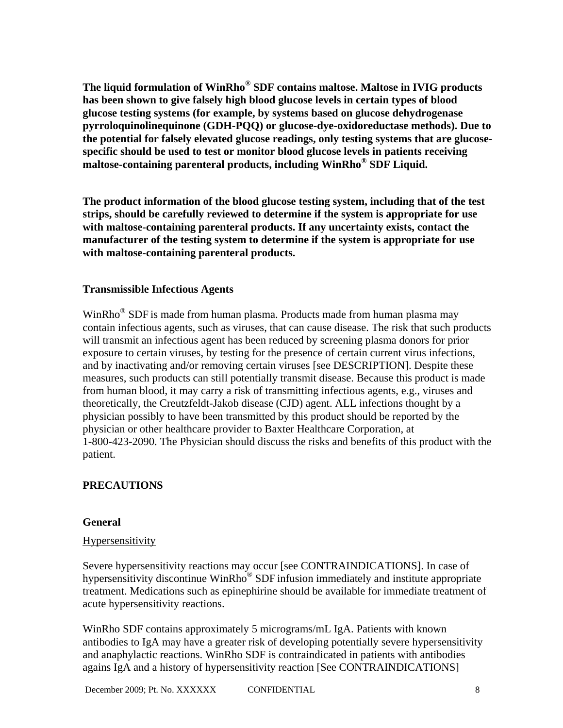The liquid formulation of WinRho® SDF contains maltose. Maltose in IVIG products **has been shown to give falsely high blood glucose levels in certain types of blood glucose testing systems (for example, by systems based on glucose dehydrogenase pyrroloquinolinequinone (GDH-PQQ) or glucose-dye-oxidoreductase methods). Due to the potential for falsely elevated glucose readings, only testing systems that are glucosespecific should be used to test or monitor blood glucose levels in patients receiving**  maltose-containing parenteral products, including WinRho<sup>®</sup> SDF Liquid.

**The product information of the blood glucose testing system, including that of the test strips, should be carefully reviewed to determine if the system is appropriate for use with maltose-containing parenteral products. If any uncertainty exists, contact the manufacturer of the testing system to determine if the system is appropriate for use with maltose-containing parenteral products.** 

### **Transmissible Infectious Agents**

WinRho<sup>®</sup> SDF is made from human plasma. Products made from human plasma may contain infectious agents, such as viruses, that can cause disease. The risk that such products will transmit an infectious agent has been reduced by screening plasma donors for prior exposure to certain viruses, by testing for the presence of certain current virus infections, and by inactivating and/or removing certain viruses [see DESCRIPTION]. Despite these measures, such products can still potentially transmit disease. Because this product is made from human blood, it may carry a risk of transmitting infectious agents, e.g., viruses and theoretically, the Creutzfeldt-Jakob disease (CJD) agent. ALL infections thought by a physician possibly to have been transmitted by this product should be reported by the physician or other healthcare provider to Baxter Healthcare Corporation, at 1-800-423-2090. The Physician should discuss the risks and benefits of this product with the patient.

## **PRECAUTIONS**

### **General**

### Hypersensitivity

Severe hypersensitivity reactions may occur [see CONTRAINDICATIONS]. In case of hypersensitivity discontinue WinRho<sup>®</sup> SDF infusion immediately and institute appropriate treatment. Medications such as epinephirine should be available for immediate treatment of acute hypersensitivity reactions.

WinRho SDF contains approximately 5 micrograms/mL IgA. Patients with known antibodies to IgA may have a greater risk of developing potentially severe hypersensitivity and anaphylactic reactions. WinRho SDF is contraindicated in patients with antibodies agains IgA and a history of hypersensitivity reaction [See CONTRAINDICATIONS]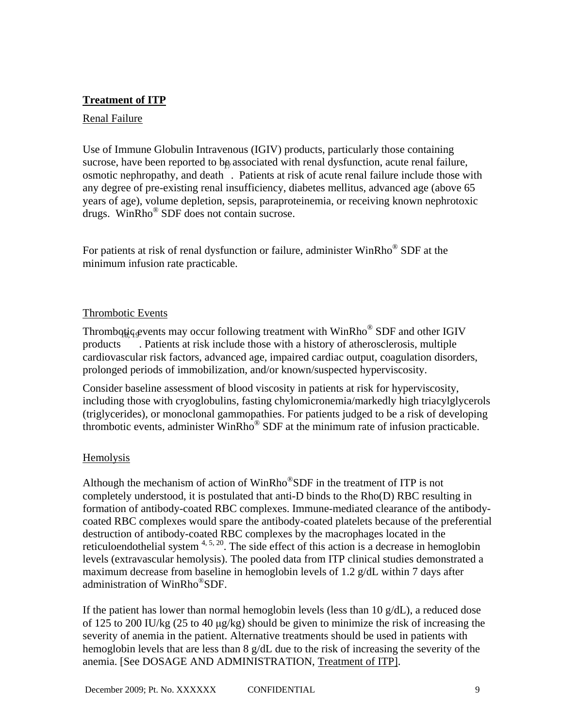## **Treatment of ITP**

### Renal Failure

Use of Immune Globulin Intravenous (IGIV) products, particularly those containing sucrose, have been reported to be associated with renal dysfunction, acute renal failure, osmotic nephropathy, and death . Patients at risk of acute renal failure include those with any degree of pre-existing renal insufficiency, diabetes mellitus, advanced age (above 65 years of age), volume depletion, sepsis, paraproteinemia, or receiving known nephrotoxic drugs. Win $Rho^{\circledR}$  SDF does not contain sucrose.

For patients at risk of renal dysfunction or failure, administer  $WinRho^@SDF$  at the minimum infusion rate practicable.

### Thrombotic Events

Thrombotiq events may occur following treatment with WinRho® SDF and other IGIV products . Patients at risk include those with a history of atherosclerosis, multiple cardiovascular risk factors, advanced age, impaired cardiac output, coagulation disorders, prolonged periods of immobilization, and/or known/suspected hyperviscosity.

Consider baseline assessment of blood viscosity in patients at risk for hyperviscosity, including those with cryoglobulins, fasting chylomicronemia/markedly high triacylglycerols (triglycerides), or monoclonal gammopathies. For patients judged to be a risk of developing thrombotic events, administer WinRho® SDF at the minimum rate of infusion practicable.

## Hemolysis

Although the mechanism of action of WinRho<sup>®</sup>SDF in the treatment of ITP is not completely understood, it is postulated that anti-D binds to the Rho(D) RBC resulting in formation of antibody-coated RBC complexes. Immune-mediated clearance of the antibodycoated RBC complexes would spare the antibody-coated platelets because of the preferential destruction of antibody-coated RBC complexes by the macrophages located in the reticuloendothelial system  $4, 5, 20$ . The side effect of this action is a decrease in hemoglobin levels (extravascular hemolysis). The pooled data from ITP clinical studies demonstrated a maximum decrease from baseline in hemoglobin levels of 1.2 g/dL within 7 days after administration of WinRho®SDF.

If the patient has lower than normal hemoglobin levels (less than  $10 \text{ g/dL}$ ), a reduced dose of 125 to 200 IU/kg (25 to 40 μg/kg) should be given to minimize the risk of increasing the severity of anemia in the patient. Alternative treatments should be used in patients with hemoglobin levels that are less than 8 g/dL due to the risk of increasing the severity of the anemia. [See DOSAGE AND ADMINISTRATION, Treatment of ITP].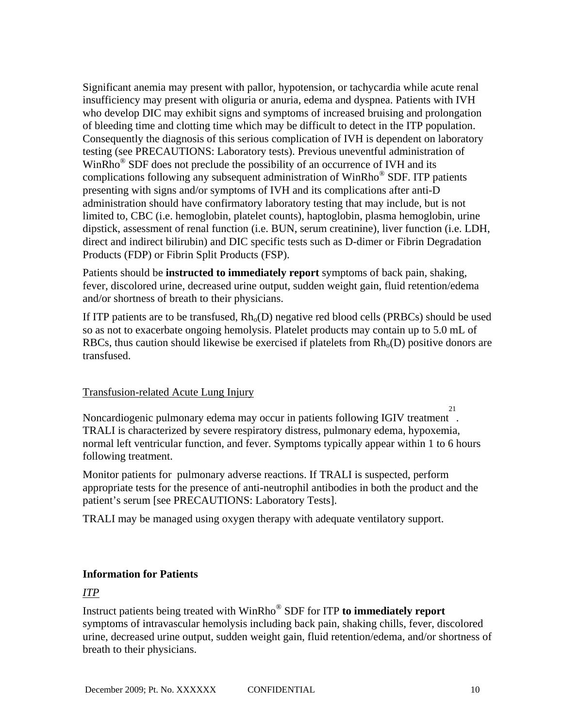Significant anemia may present with pallor, hypotension, or tachycardia while acute renal insufficiency may present with oliguria or anuria, edema and dyspnea. Patients with IVH who develop DIC may exhibit signs and symptoms of increased bruising and prolongation of bleeding time and clotting time which may be difficult to detect in the ITP population. Consequently the diagnosis of this serious complication of IVH is dependent on laboratory testing (see PRECAUTIONS: Laboratory tests). Previous uneventful administration of WinRho<sup>®</sup> SDF does not preclude the possibility of an occurrence of IVH and its complications following any subsequent administration of WinRho® SDF. ITP patients presenting with signs and/or symptoms of IVH and its complications after anti-D administration should have confirmatory laboratory testing that may include, but is not limited to, CBC (i.e. hemoglobin, platelet counts), haptoglobin, plasma hemoglobin, urine dipstick, assessment of renal function (i.e. BUN, serum creatinine), liver function (i.e. LDH, direct and indirect bilirubin) and DIC specific tests such as D-dimer or Fibrin Degradation Products (FDP) or Fibrin Split Products (FSP).

Patients should be **instructed to immediately report** symptoms of back pain, shaking, fever, discolored urine, decreased urine output, sudden weight gain, fluid retention/edema and/or shortness of breath to their physicians.

If ITP patients are to be transfused,  $Rh_0(D)$  negative red blood cells (PRBCs) should be used so as not to exacerbate ongoing hemolysis. Platelet products may contain up to 5.0 mL of RBCs, thus caution should likewise be exercised if platelets from  $Rh_o(D)$  positive donors are transfused.

## Transfusion-related Acute Lung Injury

Noncardiogenic pulmonary edema may occur in patients following IGIV treatment . 21 TRALI is characterized by severe respiratory distress, pulmonary edema, hypoxemia, normal left ventricular function, and fever. Symptoms typically appear within 1 to 6 hours following treatment.

Monitor patients for pulmonary adverse reactions. If TRALI is suspected, perform appropriate tests for the presence of anti-neutrophil antibodies in both the product and the patient's serum [see PRECAUTIONS: Laboratory Tests].

TRALI may be managed using oxygen therapy with adequate ventilatory support.

## **Information for Patients**

## *ITP*

Instruct patients being treated with WinRho® SDF for ITP **to immediately report** symptoms of intravascular hemolysis including back pain, shaking chills, fever, discolored urine, decreased urine output, sudden weight gain, fluid retention/edema, and/or shortness of breath to their physicians.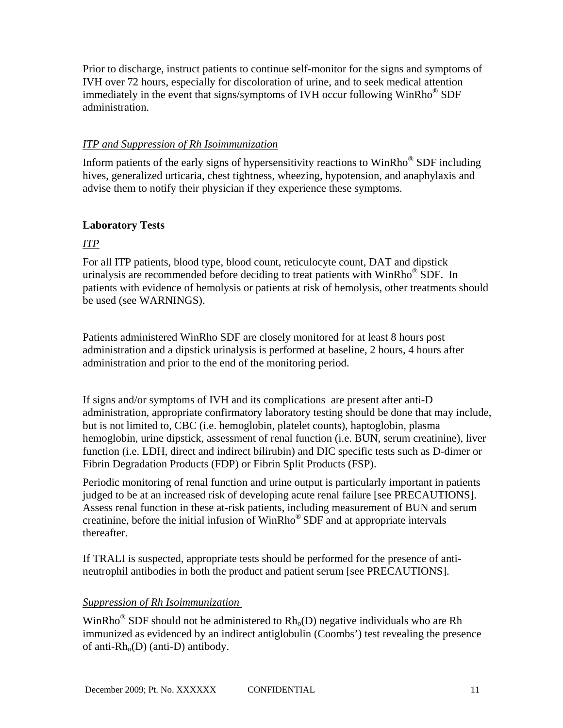Prior to discharge, instruct patients to continue self-monitor for the signs and symptoms of IVH over 72 hours, especially for discoloration of urine, and to seek medical attention immediately in the event that signs/symptoms of IVH occur following  $WinRho^@SDF$ administration.

## *ITP and Suppression of Rh Isoimmunization*

Inform patients of the early signs of hypersensitivity reactions to WinRho® SDF including hives, generalized urticaria, chest tightness, wheezing, hypotension, and anaphylaxis and advise them to notify their physician if they experience these symptoms.

## **Laboratory Tests**

## *ITP*

For all ITP patients, blood type, blood count, reticulocyte count, DAT and dipstick urinalysis are recommended before deciding to treat patients with WinRho<sup>®</sup> SDF. In patients with evidence of hemolysis or patients at risk of hemolysis, other treatments should be used (see WARNINGS).

Patients administered WinRho SDF are closely monitored for at least 8 hours post administration and a dipstick urinalysis is performed at baseline, 2 hours, 4 hours after administration and prior to the end of the monitoring period.

If signs and/or symptoms of IVH and its complications are present after anti-D administration, appropriate confirmatory laboratory testing should be done that may include, but is not limited to, CBC (i.e. hemoglobin, platelet counts), haptoglobin, plasma hemoglobin, urine dipstick, assessment of renal function (i.e. BUN, serum creatinine), liver function (i.e. LDH, direct and indirect bilirubin) and DIC specific tests such as D-dimer or Fibrin Degradation Products (FDP) or Fibrin Split Products (FSP).

Periodic monitoring of renal function and urine output is particularly important in patients judged to be at an increased risk of developing acute renal failure [see PRECAUTIONS]. Assess renal function in these at-risk patients, including measurement of BUN and serum creatinine, before the initial infusion of WinRho® SDF and at appropriate intervals thereafter.

If TRALI is suspected, appropriate tests should be performed for the presence of antineutrophil antibodies in both the product and patient serum [see PRECAUTIONS].

## *Suppression of Rh Isoimmunization*

WinRho<sup>®</sup> SDF should not be administered to  $Rh_0(D)$  negative individuals who are Rh immunized as evidenced by an indirect antiglobulin (Coombs') test revealing the presence of anti- $Rh<sub>o</sub>(D)$  (anti-D) antibody.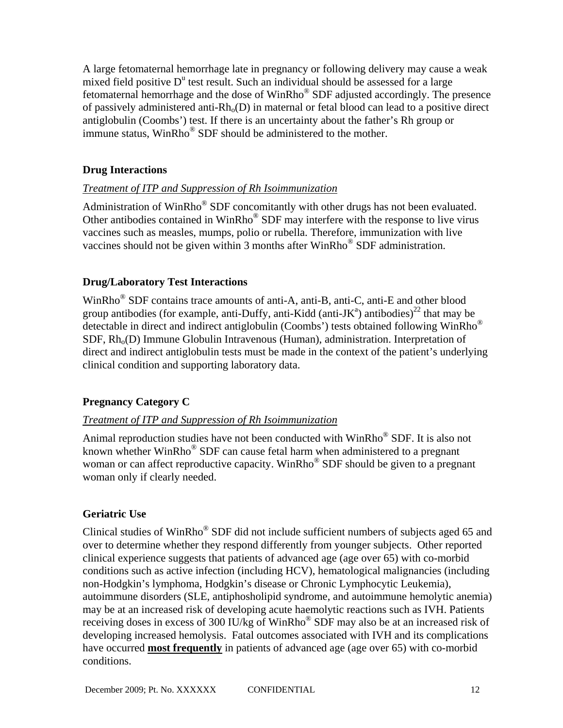A large fetomaternal hemorrhage late in pregnancy or following delivery may cause a weak mixed field positive  $D^u$  test result. Such an individual should be assessed for a large fetomaternal hemorrhage and the dose of WinRho® SDF adjusted accordingly. The presence of passively administered anti- $Rh_0(D)$  in maternal or fetal blood can lead to a positive direct antiglobulin (Coombs') test. If there is an uncertainty about the father's Rh group or immune status, WinRho® SDF should be administered to the mother.

## **Drug Interactions**

## *Treatment of ITP and Suppression of Rh Isoimmunization*

Administration of WinRho® SDF concomitantly with other drugs has not been evaluated. Other antibodies contained in WinRho® SDF may interfere with the response to live virus vaccines such as measles, mumps, polio or rubella. Therefore, immunization with live vaccines should not be given within 3 months after  $WinRho^@$  SDF administration.

## **Drug/Laboratory Test Interactions**

WinRho® SDF contains trace amounts of anti-A, anti-B, anti-C, anti-E and other blood group antibodies (for example, anti-Duffy, anti-Kidd (anti-JK<sup>a</sup>) antibodies)<sup>22</sup> that may be detectable in direct and indirect antiglobulin (Coombs') tests obtained following WinRho®  $SDF$ ,  $Rh<sub>o</sub>(D)$  Immune Globulin Intravenous (Human), administration. Interpretation of direct and indirect antiglobulin tests must be made in the context of the patient's underlying clinical condition and supporting laboratory data.

# **Pregnancy Category C**

## *Treatment of ITP and Suppression of Rh Isoimmunization*

Animal reproduction studies have not been conducted with WinRho® SDF. It is also not known whether WinRho<sup>®</sup> SDF can cause fetal harm when administered to a pregnant woman or can affect reproductive capacity. WinRho<sup>®</sup> SDF should be given to a pregnant woman only if clearly needed.

# **Geriatric Use**

Clinical studies of WinRho® SDF did not include sufficient numbers of subjects aged 65 and over to determine whether they respond differently from younger subjects. Other reported clinical experience suggests that patients of advanced age (age over 65) with co-morbid conditions such as active infection (including HCV), hematological malignancies (including non-Hodgkin's lymphoma, Hodgkin's disease or Chronic Lymphocytic Leukemia), autoimmune disorders (SLE, antiphosholipid syndrome, and autoimmune hemolytic anemia) may be at an increased risk of developing acute haemolytic reactions such as IVH. Patients receiving doses in excess of 300 IU/kg of WinRho® SDF may also be at an increased risk of developing increased hemolysis. Fatal outcomes associated with IVH and its complications have occurred **most frequently** in patients of advanced age (age over 65) with co-morbid conditions.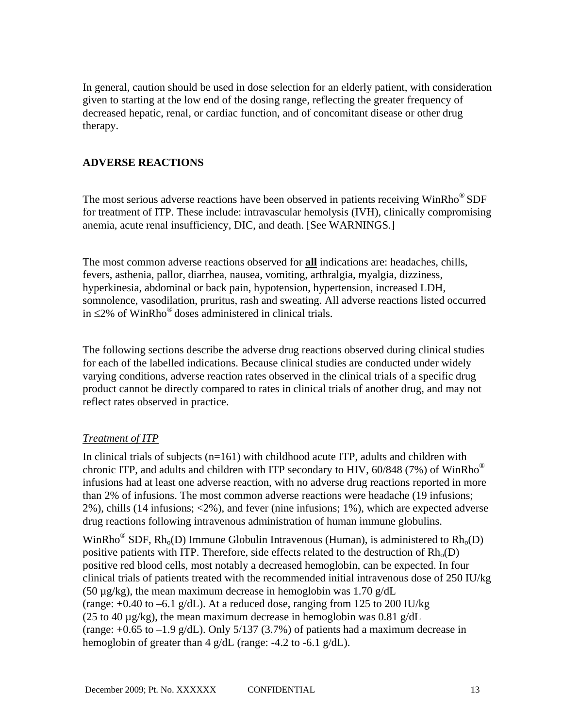In general, caution should be used in dose selection for an elderly patient, with consideration given to starting at the low end of the dosing range, reflecting the greater frequency of decreased hepatic, renal, or cardiac function, and of concomitant disease or other drug therapy.

### **ADVERSE REACTIONS**

The most serious adverse reactions have been observed in patients receiving WinRho<sup>®</sup> SDF for treatment of ITP. These include: intravascular hemolysis (IVH), clinically compromising anemia, acute renal insufficiency, DIC, and death. [See WARNINGS.]

The most common adverse reactions observed for **all** indications are: headaches, chills, fevers, asthenia, pallor, diarrhea, nausea, vomiting, arthralgia, myalgia, dizziness, hyperkinesia, abdominal or back pain, hypotension, hypertension, increased LDH, somnolence, vasodilation, pruritus, rash and sweating. All adverse reactions listed occurred in ≤2% of WinRho<sup>®</sup> doses administered in clinical trials.

The following sections describe the adverse drug reactions observed during clinical studies for each of the labelled indications. Because clinical studies are conducted under widely varying conditions, adverse reaction rates observed in the clinical trials of a specific drug product cannot be directly compared to rates in clinical trials of another drug, and may not reflect rates observed in practice.

## *Treatment of ITP*

In clinical trials of subjects (n=161) with childhood acute ITP, adults and children with chronic ITP, and adults and children with ITP secondary to HIV,  $60/848$  (7%) of WinRho<sup>®</sup> infusions had at least one adverse reaction, with no adverse drug reactions reported in more than 2% of infusions. The most common adverse reactions were headache (19 infusions; 2%), chills (14 infusions; <2%), and fever (nine infusions; 1%), which are expected adverse drug reactions following intravenous administration of human immune globulins.

WinRho<sup>®</sup> SDF, Rh<sub>o</sub>(D) Immune Globulin Intravenous (Human), is administered to Rh<sub>o</sub>(D) positive patients with ITP. Therefore, side effects related to the destruction of  $Rh_0(D)$ positive red blood cells, most notably a decreased hemoglobin, can be expected. In four clinical trials of patients treated with the recommended initial intravenous dose of 250 IU/kg (50  $\mu$ g/kg), the mean maximum decrease in hemoglobin was 1.70 g/dL (range:  $+0.40$  to  $-6.1$  g/dL). At a reduced dose, ranging from 125 to 200 IU/kg (25 to 40  $\mu$ g/kg), the mean maximum decrease in hemoglobin was 0.81 g/dL (range:  $+0.65$  to  $-1.9$  g/dL). Only 5/137 (3.7%) of patients had a maximum decrease in hemoglobin of greater than 4 g/dL (range:  $-4.2$  to  $-6.1$  g/dL).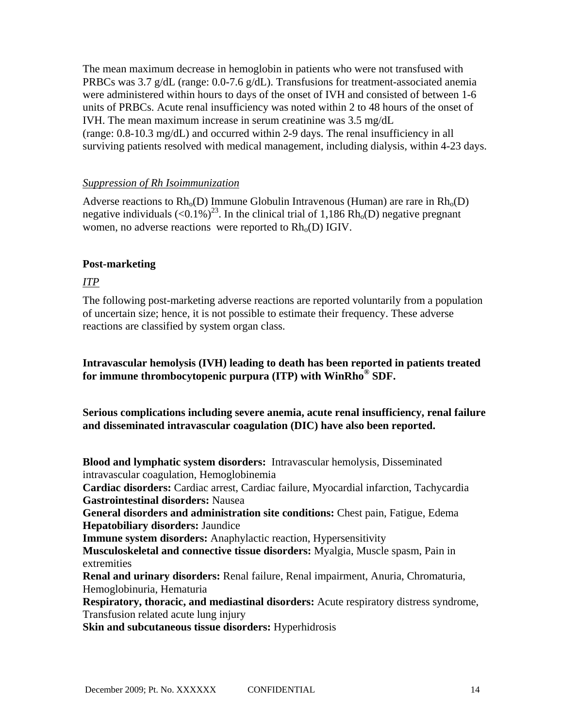The mean maximum decrease in hemoglobin in patients who were not transfused with PRBCs was 3.7 g/dL (range: 0.0-7.6 g/dL). Transfusions for treatment-associated anemia were administered within hours to days of the onset of IVH and consisted of between 1-6 units of PRBCs. Acute renal insufficiency was noted within 2 to 48 hours of the onset of IVH. The mean maximum increase in serum creatinine was 3.5 mg/dL (range: 0.8-10.3 mg/dL) and occurred within 2-9 days. The renal insufficiency in all surviving patients resolved with medical management, including dialysis, within 4-23 days.

### *Suppression of Rh Isoimmunization*

Adverse reactions to  $Rh_0(D)$  Immune Globulin Intravenous (Human) are rare in  $Rh_0(D)$ negative individuals  $(<0.1\%)^{23}$ . In the clinical trial of 1,186 Rh<sub>0</sub>(D) negative pregnant women, no adverse reactions were reported to  $Rh<sub>o</sub>(D)$  IGIV.

## **Post-marketing**

### *ITP*

The following post-marketing adverse reactions are reported voluntarily from a population of uncertain size; hence, it is not possible to estimate their frequency. These adverse reactions are classified by system organ class.

## **Intravascular hemolysis (IVH) leading to death has been reported in patients treated for immune thrombocytopenic purpura (ITP) with WinRho® SDF.**

**Serious complications including severe anemia, acute renal insufficiency, renal failure and disseminated intravascular coagulation (DIC) have also been reported.** 

**Blood and lymphatic system disorders:** Intravascular hemolysis, Disseminated intravascular coagulation, Hemoglobinemia

**Cardiac disorders:** Cardiac arrest, Cardiac failure, Myocardial infarction, Tachycardia **Gastrointestinal disorders:** Nausea

**General disorders and administration site conditions:** Chest pain, Fatigue, Edema **Hepatobiliary disorders:** Jaundice

**Immune system disorders:** Anaphylactic reaction, Hypersensitivity

**Musculoskeletal and connective tissue disorders:** Myalgia, Muscle spasm, Pain in extremities

**Renal and urinary disorders:** Renal failure, Renal impairment, Anuria, Chromaturia, Hemoglobinuria, Hematuria

**Respiratory, thoracic, and mediastinal disorders:** Acute respiratory distress syndrome, Transfusion related acute lung injury

**Skin and subcutaneous tissue disorders:** Hyperhidrosis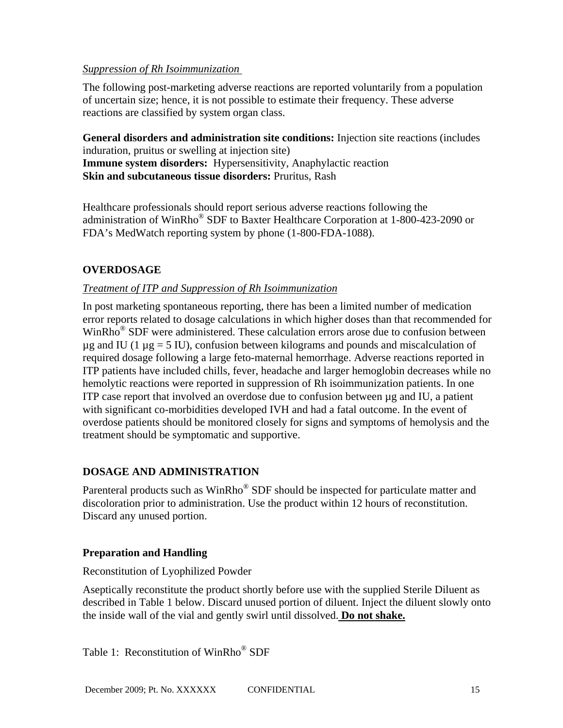### *Suppression of Rh Isoimmunization*

The following post-marketing adverse reactions are reported voluntarily from a population of uncertain size; hence, it is not possible to estimate their frequency. These adverse reactions are classified by system organ class.

**General disorders and administration site conditions:** Injection site reactions (includes induration, pruitus or swelling at injection site) **Immune system disorders:** Hypersensitivity, Anaphylactic reaction **Skin and subcutaneous tissue disorders:** Pruritus, Rash

Healthcare professionals should report serious adverse reactions following the administration of WinRho® SDF to Baxter Healthcare Corporation at 1-800-423-2090 or FDA's MedWatch reporting system by phone (1-800-FDA-1088).

## **OVERDOSAGE**

## *Treatment of ITP and Suppression of Rh Isoimmunization*

In post marketing spontaneous reporting, there has been a limited number of medication error reports related to dosage calculations in which higher doses than that recommended for WinRho® SDF were administered. These calculation errors arose due to confusion between  $\mu$ g and IU (1  $\mu$ g = 5 IU), confusion between kilograms and pounds and miscalculation of required dosage following a large feto-maternal hemorrhage. Adverse reactions reported in ITP patients have included chills, fever, headache and larger hemoglobin decreases while no hemolytic reactions were reported in suppression of Rh isoimmunization patients. In one ITP case report that involved an overdose due to confusion between µg and IU, a patient with significant co-morbidities developed IVH and had a fatal outcome. In the event of overdose patients should be monitored closely for signs and symptoms of hemolysis and the treatment should be symptomatic and supportive.

## **DOSAGE AND ADMINISTRATION**

Parenteral products such as WinRho<sup>®</sup> SDF should be inspected for particulate matter and discoloration prior to administration. Use the product within 12 hours of reconstitution. Discard any unused portion.

## **Preparation and Handling**

Reconstitution of Lyophilized Powder

Aseptically reconstitute the product shortly before use with the supplied Sterile Diluent as described in Table 1 below. Discard unused portion of diluent. Inject the diluent slowly onto the inside wall of the vial and gently swirl until dissolved. **Do not shake.**

Table 1: Reconstitution of WinRho® SDF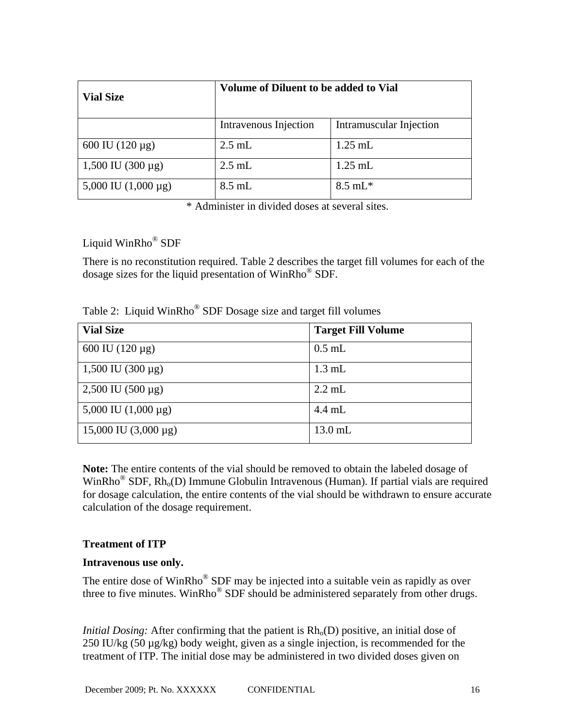| <b>Vial Size</b>         | Volume of Diluent to be added to Vial |                         |  |
|--------------------------|---------------------------------------|-------------------------|--|
|                          | Intravenous Injection                 | Intramuscular Injection |  |
| 600 IU $(120 \,\mu g)$   | $2.5$ mL                              | $1.25$ mL               |  |
| $1,500$ IU (300 µg)      | $2.5$ mL                              | $1.25$ mL               |  |
| 5,000 IU $(1,000 \mu g)$ | $8.5$ mL                              | $8.5 \text{ mL}^*$      |  |

\* Administer in divided doses at several sites.

Liquid WinRho® SDF

There is no reconstitution required. Table 2 describes the target fill volumes for each of the dosage sizes for the liquid presentation of WinRho® SDF.

| Table 2: Liquid WinRho <sup>®</sup> SDF Dosage size and target fill volumes |  |  |  |  |  |  |  |  |  |
|-----------------------------------------------------------------------------|--|--|--|--|--|--|--|--|--|
|-----------------------------------------------------------------------------|--|--|--|--|--|--|--|--|--|

| <b>Vial Size</b>           | <b>Target Fill Volume</b> |
|----------------------------|---------------------------|
| 600 IU $(120 \,\mu g)$     | $0.5$ mL                  |
| $1,500$ IU (300 µg)        | $1.3 \text{ mL}$          |
| $2,500$ IU $(500 \,\mu g)$ | $2.2$ mL                  |
| 5,000 IU $(1,000 \mu g)$   | $4.4 \text{ mL}$          |
| 15,000 IU $(3,000 \mu g)$  | $13.0$ mL                 |

**Note:** The entire contents of the vial should be removed to obtain the labeled dosage of WinRho<sup>®</sup> SDF,  $Rh<sub>o</sub>(D)$  Immune Globulin Intravenous (Human). If partial vials are required for dosage calculation, the entire contents of the vial should be withdrawn to ensure accurate calculation of the dosage requirement.

# **Treatment of ITP**

## **Intravenous use only.**

The entire dose of WinRho® SDF may be injected into a suitable vein as rapidly as over three to five minutes. WinRho<sup>®</sup> SDF should be administered separately from other drugs.

*Initial Dosing:* After confirming that the patient is  $Rh_0(D)$  positive, an initial dose of 250 IU/kg (50 µg/kg) body weight, given as a single injection, is recommended for the treatment of ITP. The initial dose may be administered in two divided doses given on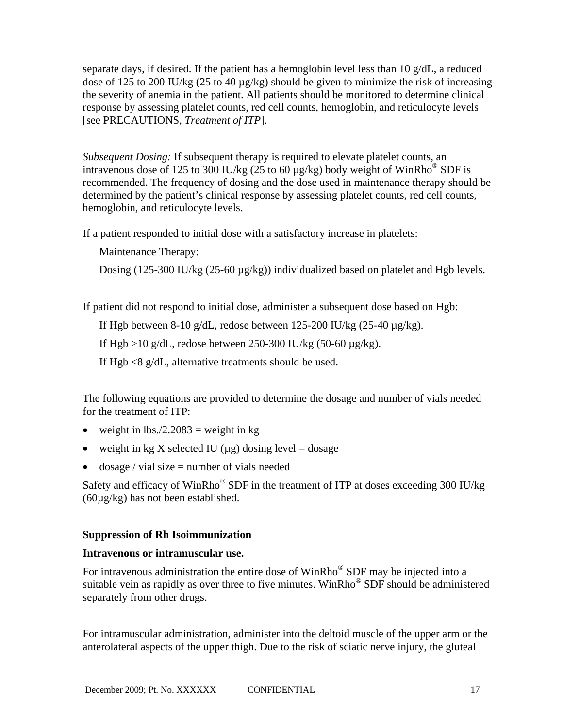separate days, if desired. If the patient has a hemoglobin level less than 10 g/dL, a reduced dose of 125 to 200 IU/kg (25 to 40 µg/kg) should be given to minimize the risk of increasing the severity of anemia in the patient. All patients should be monitored to determine clinical response by assessing platelet counts, red cell counts, hemoglobin, and reticulocyte levels [see PRECAUTIONS, *Treatment of ITP*].

*Subsequent Dosing:* If subsequent therapy is required to elevate platelet counts, an intravenous dose of 125 to 300 IU/kg (25 to 60  $\mu$ g/kg) body weight of WinRho<sup>®</sup> SDF is recommended. The frequency of dosing and the dose used in maintenance therapy should be determined by the patient's clinical response by assessing platelet counts, red cell counts, hemoglobin, and reticulocyte levels.

If a patient responded to initial dose with a satisfactory increase in platelets:

Maintenance Therapy:

Dosing (125-300 IU/kg (25-60  $\mu$ g/kg)) individualized based on platelet and Hgb levels.

If patient did not respond to initial dose, administer a subsequent dose based on Hgb:

If Hgb between 8-10 g/dL, redose between  $125-200$  IU/kg  $(25-40 \mu g/kg)$ .

If Hgb >10 g/dL, redose between 250-300 IU/kg (50-60 µg/kg).

If Hgb <8 g/dL, alternative treatments should be used.

The following equations are provided to determine the dosage and number of vials needed for the treatment of ITP:

- weight in  $\text{lbs.}/2.2083 = \text{weight}$  in kg
- weight in kg X selected IU ( $\mu$ g) dosing level = dosage
- dosage / vial size  $=$  number of vials needed

Safety and efficacy of WinRho® SDF in the treatment of ITP at doses exceeding 300 IU/kg (60µg/kg) has not been established.

### **Suppression of Rh Isoimmunization**

### **Intravenous or intramuscular use.**

For intravenous administration the entire dose of WinRho® SDF may be injected into a suitable vein as rapidly as over three to five minutes. WinRho<sup>®</sup> SDF should be administered separately from other drugs.

For intramuscular administration, administer into the deltoid muscle of the upper arm or the anterolateral aspects of the upper thigh. Due to the risk of sciatic nerve injury, the gluteal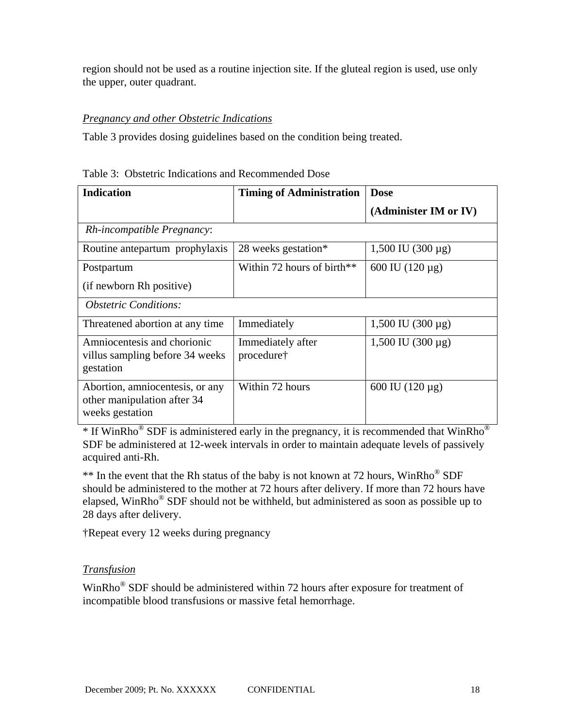region should not be used as a routine injection site. If the gluteal region is used, use only the upper, outer quadrant.

## *Pregnancy and other Obstetric Indications*

Table 3 provides dosing guidelines based on the condition being treated.

| <b>Indication</b>                                                                 | <b>Timing of Administration</b> | <b>Dose</b>            |
|-----------------------------------------------------------------------------------|---------------------------------|------------------------|
|                                                                                   |                                 | (Administer IM or IV)  |
| Rh-incompatible Pregnancy:                                                        |                                 |                        |
| Routine antepartum prophylaxis                                                    | 28 weeks gestation*             | $1,500$ IU (300 µg)    |
| Postpartum                                                                        | Within 72 hours of birth $**$   | 600 IU $(120 \,\mu g)$ |
| (if newborn Rh positive)                                                          |                                 |                        |
| <b>Obstetric Conditions:</b>                                                      |                                 |                        |
| Threatened abortion at any time.                                                  | Immediately                     | $1,500$ IU (300 µg)    |
| Amniocentesis and chorionic<br>villus sampling before 34 weeks<br>gestation       | Immediately after<br>procedure† | $1,500$ IU (300 µg)    |
| Abortion, amniocentesis, or any<br>other manipulation after 34<br>weeks gestation | Within 72 hours                 | 600 IU $(120 \,\mu g)$ |

| Table 3: Obstetric Indications and Recommended Dose |
|-----------------------------------------------------|
|-----------------------------------------------------|

\* If WinRho® SDF is administered early in the pregnancy, it is recommended that WinRho® SDF be administered at 12-week intervals in order to maintain adequate levels of passively acquired anti-Rh.

\*\* In the event that the Rh status of the baby is not known at 72 hours, WinRho® SDF should be administered to the mother at 72 hours after delivery. If more than 72 hours have elapsed, WinRho® SDF should not be withheld, but administered as soon as possible up to 28 days after delivery.

†Repeat every 12 weeks during pregnancy

## *Transfusion*

WinRho® SDF should be administered within 72 hours after exposure for treatment of incompatible blood transfusions or massive fetal hemorrhage.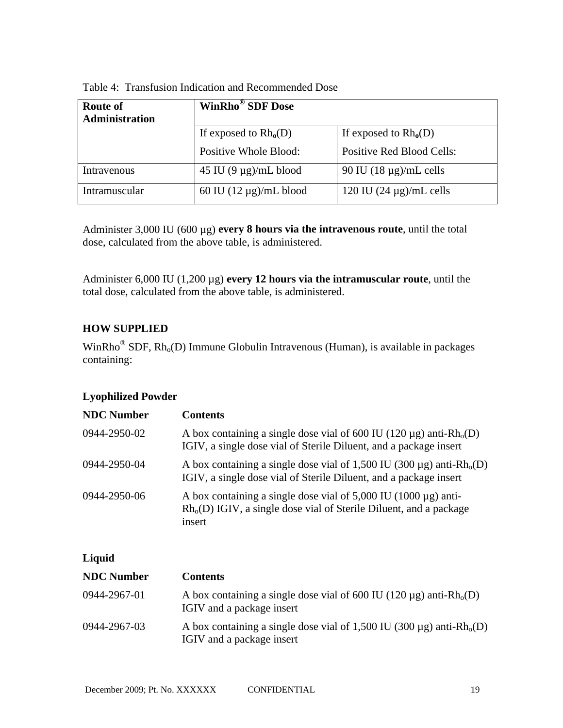| <b>Route of</b><br>Administration | <b>WinRho<sup>®</sup> SDF Dose</b> |                                  |  |
|-----------------------------------|------------------------------------|----------------------------------|--|
|                                   | If exposed to $Rh_0(D)$            | If exposed to $Rh_0(D)$          |  |
|                                   | Positive Whole Blood:              | <b>Positive Red Blood Cells:</b> |  |
| Intravenous                       | 45 IU $(9 \mu g)/mL$ blood         | 90 IU $(18 \mu g)/mL$ cells      |  |
| Intramuscular                     | 60 IU $(12 \mu g)/mL$ blood        | 120 IU $(24 \mu g)/mL$ cells     |  |

Administer 3,000 IU (600 µg) **every 8 hours via the intravenous route**, until the total dose, calculated from the above table, is administered.

Administer 6,000 IU (1,200 µg) **every 12 hours via the intramuscular route**, until the total dose, calculated from the above table, is administered.

# **HOW SUPPLIED**

WinRho<sup>®</sup> SDF,  $Rh_o(D)$  Immune Globulin Intravenous (Human), is available in packages containing:

# **Lyophilized Powder**

| <b>NDC Number</b> | <b>Contents</b>                                                                                                                                             |
|-------------------|-------------------------------------------------------------------------------------------------------------------------------------------------------------|
| 0944-2950-02      | A box containing a single dose vial of 600 IU (120 $\mu$ g) anti-Rh <sub>0</sub> (D)<br>IGIV, a single dose vial of Sterile Diluent, and a package insert   |
| 0944-2950-04      | A box containing a single dose vial of 1,500 IU (300 $\mu$ g) anti-Rh <sub>0</sub> (D)<br>IGIV, a single dose vial of Sterile Diluent, and a package insert |
| 0944-2950-06      | A box containing a single dose vial of $5,000$ IU (1000 $\mu$ g) anti-<br>$Rho(D)$ IGIV, a single dose vial of Sterile Diluent, and a package<br>insert     |

## **Liquid**

| <b>NDC</b> Number | <b>Contents</b>                                                                                                     |
|-------------------|---------------------------------------------------------------------------------------------------------------------|
| 0944-2967-01      | A box containing a single dose vial of 600 IU (120 $\mu$ g) anti-Rh <sub>0</sub> (D)<br>IGIV and a package insert   |
| 0944-2967-03      | A box containing a single dose vial of 1,500 IU (300 $\mu$ g) anti-Rh <sub>0</sub> (D)<br>IGIV and a package insert |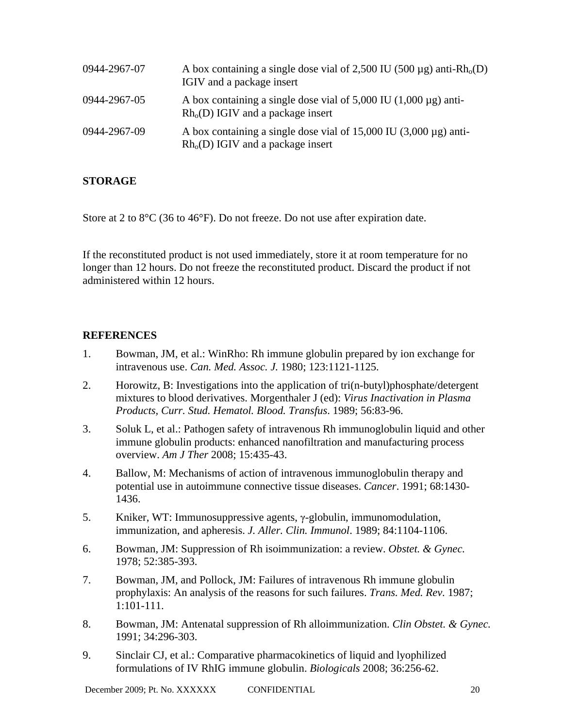| 0944-2967-07 | A box containing a single dose vial of 2,500 IU (500 $\mu$ g) anti-Rh <sub>0</sub> (D)<br>IGIV and a package insert |
|--------------|---------------------------------------------------------------------------------------------------------------------|
| 0944-2967-05 | A box containing a single dose vial of $5,000$ IU (1,000 $\mu$ g) anti-<br>$Rho(D)$ IGIV and a package insert       |
| 0944-2967-09 | A box containing a single dose vial of $15,000$ IU (3,000 µg) anti-<br>$Rho(D)$ IGIV and a package insert           |

### **STORAGE**

Store at 2 to 8°C (36 to 46°F). Do not freeze. Do not use after expiration date.

If the reconstituted product is not used immediately, store it at room temperature for no longer than 12 hours. Do not freeze the reconstituted product. Discard the product if not administered within 12 hours.

### **REFERENCES**

- 1. Bowman, JM, et al.: WinRho: Rh immune globulin prepared by ion exchange for intravenous use. *Can. Med. Assoc. J.* 1980; 123:1121-1125.
- 2. Horowitz, B: Investigations into the application of tri(n-butyl)phosphate/detergent mixtures to blood derivatives. Morgenthaler J (ed): *Virus Inactivation in Plasma Products, Curr. Stud. Hematol. Blood. Transfus*. 1989; 56:83-96.
- 3. Soluk L, et al.: Pathogen safety of intravenous Rh immunoglobulin liquid and other immune globulin products: enhanced nanofiltration and manufacturing process overview. *Am J Ther* 2008; 15:435-43.
- 4. Ballow, M: Mechanisms of action of intravenous immunoglobulin therapy and potential use in autoimmune connective tissue diseases. *Cancer*. 1991; 68:1430- 1436.
- 5. Kniker, WT: Immunosuppressive agents, γ-globulin, immunomodulation, immunization, and apheresis. *J. Aller. Clin. Immunol*. 1989; 84:1104-1106.
- 6. Bowman, JM: Suppression of Rh isoimmunization: a review. *Obstet. & Gynec.* 1978; 52:385-393.
- 7. Bowman, JM, and Pollock, JM: Failures of intravenous Rh immune globulin prophylaxis: An analysis of the reasons for such failures. *Trans. Med. Rev.* 1987; 1:101-111.
- 8. Bowman, JM: Antenatal suppression of Rh alloimmunization. *Clin Obstet. & Gynec.* 1991; 34:296-303.
- 9. Sinclair CJ, et al.: Comparative pharmacokinetics of liquid and lyophilized formulations of IV RhIG immune globulin. *Biologicals* 2008; 36:256-62.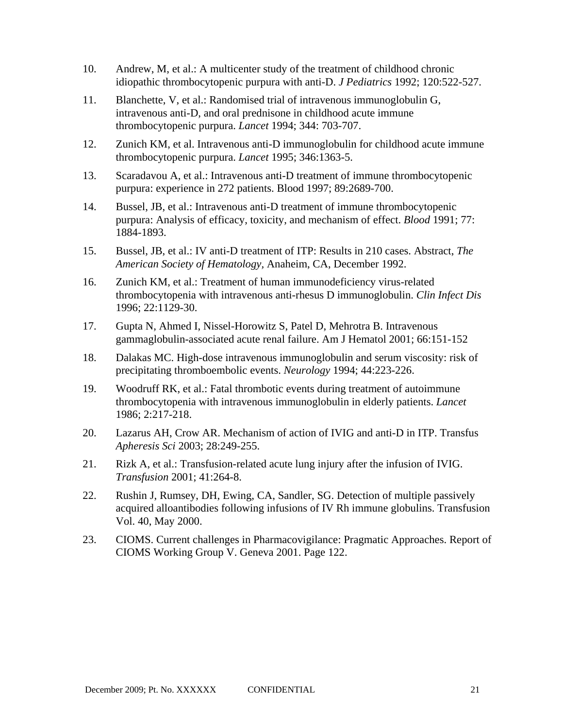- 10. Andrew, M, et al.: A multicenter study of the treatment of childhood chronic idiopathic thrombocytopenic purpura with anti-D. *J Pediatrics* 1992; 120:522-527.
- 11. Blanchette, V, et al.: Randomised trial of intravenous immunoglobulin G, intravenous anti-D, and oral prednisone in childhood acute immune thrombocytopenic purpura. *Lancet* 1994; 344: 703-707.
- 12. Zunich KM, et al. Intravenous anti-D immunoglobulin for childhood acute immune thrombocytopenic purpura. *Lancet* 1995; 346:1363-5.
- 13. Scaradavou A, et al.: Intravenous anti-D treatment of immune thrombocytopenic purpura: experience in 272 patients. Blood 1997; 89:2689-700.
- 14. Bussel, JB, et al.: Intravenous anti-D treatment of immune thrombocytopenic purpura: Analysis of efficacy, toxicity, and mechanism of effect. *Blood* 1991; 77: 1884-1893.
- 15. Bussel, JB, et al.: IV anti-D treatment of ITP: Results in 210 cases. Abstract, *The American Society of Hematology,* Anaheim, CA, December 1992.
- 16. Zunich KM, et al.: Treatment of human immunodeficiency virus-related thrombocytopenia with intravenous anti-rhesus D immunoglobulin. *Clin Infect Dis* 1996; 22:1129-30.
- 17. Gupta N, Ahmed I, Nissel-Horowitz S, Patel D, Mehrotra B. Intravenous gammaglobulin-associated acute renal failure. Am J Hematol 2001; 66:151-152
- 18. Dalakas MC. High-dose intravenous immunoglobulin and serum viscosity: risk of precipitating thromboembolic events. *Neurology* 1994; 44:223-226.
- 19. Woodruff RK, et al.: Fatal thrombotic events during treatment of autoimmune thrombocytopenia with intravenous immunoglobulin in elderly patients. *Lancet* 1986; 2:217-218.
- 20. Lazarus AH, Crow AR. Mechanism of action of IVIG and anti-D in ITP. Transfus *Apheresis Sci* 2003; 28:249-255.
- 21. Rizk A, et al.: Transfusion-related acute lung injury after the infusion of IVIG. *Transfusion* 2001; 41:264-8.
- 22. Rushin J, Rumsey, DH, Ewing, CA, Sandler, SG. Detection of multiple passively acquired alloantibodies following infusions of IV Rh immune globulins. Transfusion Vol. 40, May 2000.
- 23. CIOMS. Current challenges in Pharmacovigilance: Pragmatic Approaches. Report of CIOMS Working Group V. Geneva 2001. Page 122.